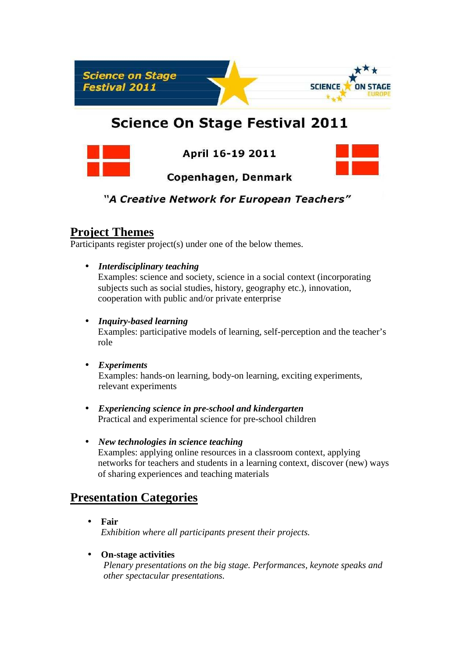

# **Science On Stage Festival 2011**



April 16-19 2011



Copenhagen, Denmark

# "A Creative Network for European Teachers"

# **Project Themes**

Participants register project(s) under one of the below themes.

• *Interdisciplinary teaching*

Examples: science and society, science in a social context (incorporating subjects such as social studies, history, geography etc.), innovation, cooperation with public and/or private enterprise

### • *Inquiry-based learning*

Examples: participative models of learning, self-perception and the teacher's role

### • *Experiments*

Examples: hands-on learning, body-on learning, exciting experiments, relevant experiments

- *Experiencing science in pre-school and kindergarten* Practical and experimental science for pre-school children
- *New technologies in science teaching* Examples: applying online resources in a classroom context, applying networks for teachers and students in a learning context, discover (new) ways of sharing experiences and teaching materials

# **Presentation Categories**

• **Fair** *Exhibition where all participants present their projects.*

### • **On-stage activities**

*Plenary presentations on the big stage. Performances, keynote speaks and other spectacular presentations.*